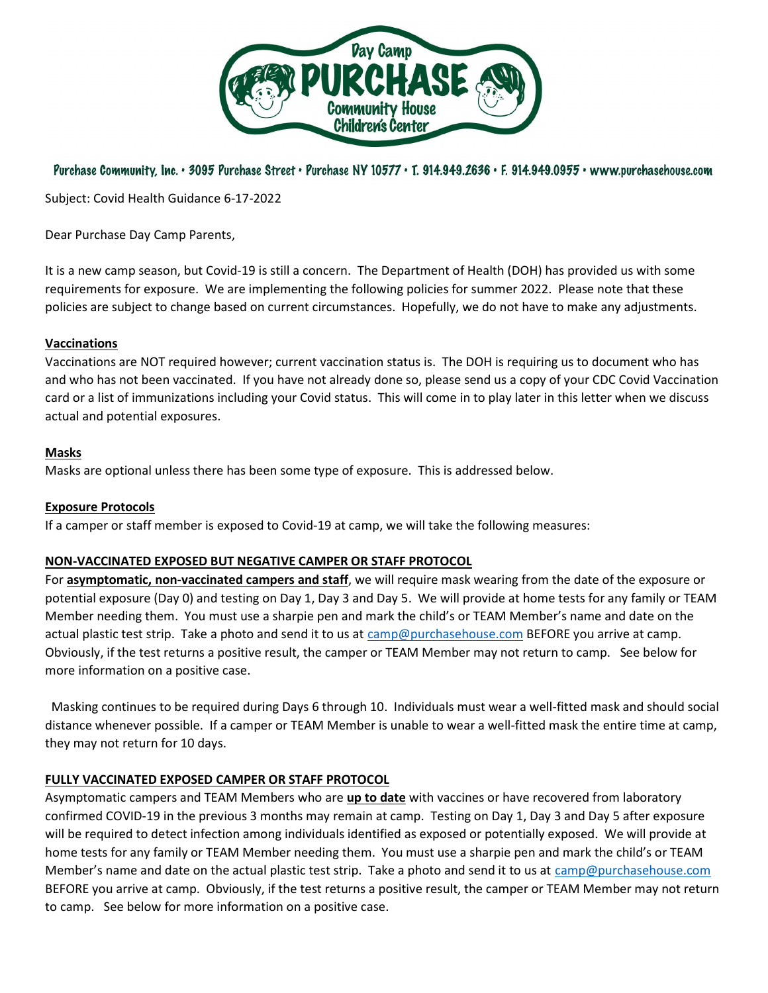

# Purchase Community, Inc. • 3095 Purchase Street • Purchase NY 10577 • T. 914.949.2636 • F. 914.949.0955 • www.purchasehouse.com

Subject: Covid Health Guidance 6-17-2022

Dear Purchase Day Camp Parents,

It is a new camp season, but Covid-19 is still a concern. The Department of Health (DOH) has provided us with some requirements for exposure. We are implementing the following policies for summer 2022. Please note that these policies are subject to change based on current circumstances. Hopefully, we do not have to make any adjustments.

## Vaccinations

Vaccinations are NOT required however; current vaccination status is. The DOH is requiring us to document who has and who has not been vaccinated. If you have not already done so, please send us a copy of your CDC Covid Vaccination card or a list of immunizations including your Covid status. This will come in to play later in this letter when we discuss actual and potential exposures.

#### Masks

Masks are optional unless there has been some type of exposure. This is addressed below.

## Exposure Protocols

If a camper or staff member is exposed to Covid-19 at camp, we will take the following measures:

## NON-VACCINATED EXPOSED BUT NEGATIVE CAMPER OR STAFF PROTOCOL

For asymptomatic, non-vaccinated campers and staff, we will require mask wearing from the date of the exposure or potential exposure (Day 0) and testing on Day 1, Day 3 and Day 5. We will provide at home tests for any family or TEAM Member needing them. You must use a sharpie pen and mark the child's or TEAM Member's name and date on the actual plastic test strip. Take a photo and send it to us at camp@purchasehouse.com BEFORE you arrive at camp. Obviously, if the test returns a positive result, the camper or TEAM Member may not return to camp. See below for more information on a positive case.

 Masking continues to be required during Days 6 through 10. Individuals must wear a well-fitted mask and should social distance whenever possible. If a camper or TEAM Member is unable to wear a well-fitted mask the entire time at camp, they may not return for 10 days.

## FULLY VACCINATED EXPOSED CAMPER OR STAFF PROTOCOL

Asymptomatic campers and TEAM Members who are up to date with vaccines or have recovered from laboratory confirmed COVID-19 in the previous 3 months may remain at camp. Testing on Day 1, Day 3 and Day 5 after exposure will be required to detect infection among individuals identified as exposed or potentially exposed. We will provide at home tests for any family or TEAM Member needing them. You must use a sharpie pen and mark the child's or TEAM Member's name and date on the actual plastic test strip. Take a photo and send it to us at camp@purchasehouse.com BEFORE you arrive at camp. Obviously, if the test returns a positive result, the camper or TEAM Member may not return to camp. See below for more information on a positive case.